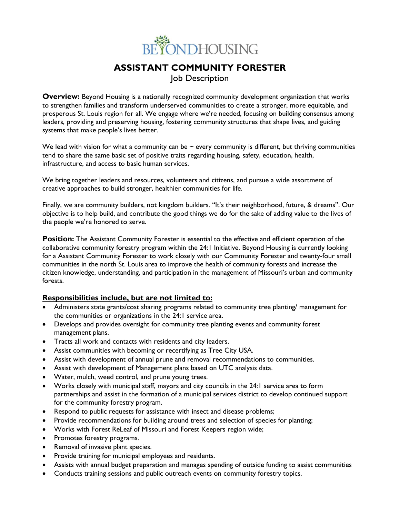

# **ASSISTANT COMMUNITY FORESTER** Job Description

**Overview:** Beyond Housing is a nationally recognized community development organization that works to strengthen families and transform underserved communities to create a stronger, more equitable, and prosperous St. Louis region for all. We engage where we're needed, focusing on building consensus among leaders, providing and preserving housing, fostering community structures that shape lives, and guiding systems that make people's lives better.

We lead with vision for what a community can be  $\sim$  every community is different, but thriving communities tend to share the same basic set of positive traits regarding housing, safety, education, health, infrastructure, and access to basic human services.

We bring together leaders and resources, volunteers and citizens, and pursue a wide assortment of creative approaches to build stronger, healthier communities for life.

Finally, we are community builders, not kingdom builders. "It's their neighborhood, future, & dreams". Our objective is to help build, and contribute the good things we do for the sake of adding value to the lives of the people we're honored to serve.

**Position:** The Assistant Community Forester is essential to the effective and efficient operation of the collaborative community forestry program within the 24:1 Initiative. Beyond Housing is currently looking for a Assistant Community Forester to work closely with our Community Forester and twenty-four small communities in the north St. Louis area to improve the health of community forests and increase the citizen knowledge, understanding, and participation in the management of Missouri's urban and community forests.

#### **Responsibilities include, but are not limited to:**

- Administers state grants/cost sharing programs related to community tree planting/ management for the communities or organizations in the 24:1 service area.
- Develops and provides oversight for community tree planting events and community forest management plans.
- Tracts all work and contacts with residents and city leaders.
- Assist communities with becoming or recertifying as Tree City USA.
- Assist with development of annual prune and removal recommendations to communities.
- Assist with development of Management plans based on UTC analysis data.
- Water, mulch, weed control, and prune young trees.
- Works closely with municipal staff, mayors and city councils in the 24:1 service area to form partnerships and assist in the formation of a municipal services district to develop continued support for the community forestry program.
- Respond to public requests for assistance with insect and disease problems;
- Provide recommendations for building around trees and selection of species for planting;
- Works with Forest ReLeaf of Missouri and Forest Keepers region wide;
- Promotes forestry programs.
- Removal of invasive plant species.
- Provide training for municipal employees and residents.
- Assists with annual budget preparation and manages spending of outside funding to assist communities
- Conducts training sessions and public outreach events on community forestry topics.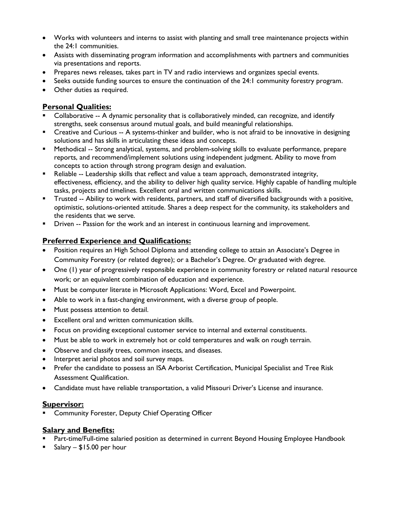- Works with volunteers and interns to assist with planting and small tree maintenance projects within the 24:1 communities.
- Assists with disseminating program information and accomplishments with partners and communities via presentations and reports.
- Prepares news releases, takes part in TV and radio interviews and organizes special events.
- Seeks outside funding sources to ensure the continuation of the 24:1 community forestry program.
- Other duties as required.

## **Personal Qualities:**

- Collaborative -- A dynamic personality that is collaboratively minded, can recognize, and identify strengths, seek consensus around mutual goals, and build meaningful relationships.
- **•** Creative and Curious -- A systems-thinker and builder, who is not afraid to be innovative in designing solutions and has skills in articulating these ideas and concepts.
- **E** Methodical -- Strong analytical, systems, and problem-solving skills to evaluate performance, prepare reports, and recommend/implement solutions using independent judgment. Ability to move from concepts to action through strong program design and evaluation.
- **E** Reliable -- Leadership skills that reflect and value a team approach, demonstrated integrity, effectiveness, efficiency, and the ability to deliver high quality service. Highly capable of handling multiple tasks, projects and timelines. Excellent oral and written communications skills.
- Trusted -- Ability to work with residents, partners, and staff of diversified backgrounds with a positive, optimistic, solutions-oriented attitude. Shares a deep respect for the community, its stakeholders and the residents that we serve.
- **•** Driven -- Passion for the work and an interest in continuous learning and improvement.

# **Preferred Experience and Qualifications:**

- Position requires an High School Diploma and attending college to attain an Associate's Degree in Community Forestry (or related degree); or a Bachelor's Degree. Or graduated with degree.
- One (1) year of progressively responsible experience in community forestry or related natural resource work; or an equivalent combination of education and experience.
- Must be computer literate in Microsoft Applications: Word, Excel and Powerpoint.
- Able to work in a fast-changing environment, with a diverse group of people.
- Must possess attention to detail.
- Excellent oral and written communication skills.
- Focus on providing exceptional customer service to internal and external constituents.
- Must be able to work in extremely hot or cold temperatures and walk on rough terrain.
- Observe and classify trees, common insects, and diseases.
- Interpret aerial photos and soil survey maps.
- Prefer the candidate to possess an ISA Arborist Certification, Municipal Specialist and Tree Risk Assessment Qualification.
- Candidate must have reliable transportation, a valid Missouri Driver's License and insurance.

### **Supervisor:**

**EXEDENT** Community Forester, Deputy Chief Operating Officer

### **Salary and Benefits:**

- **Part-time/Full-time salaried position as determined in current Beyond Housing Employee Handbook**
- $\blacksquare$  Salary \$15.00 per hour